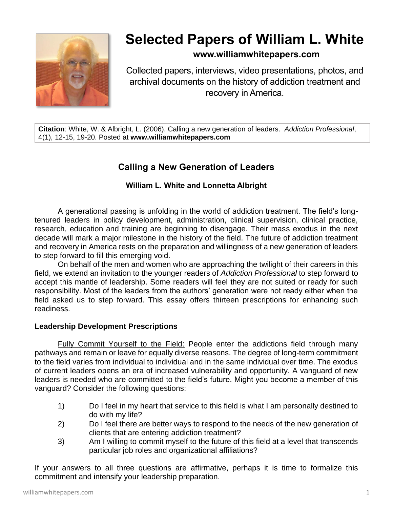

# **Selected Papers of William L. White**

# **www.williamwhitepapers.com**

Collected papers, interviews, video presentations, photos, and archival documents on the history of addiction treatment and recovery in America.

**Citation**: White, W. & Albright, L. (2006). Calling a new generation of leaders. *Addiction Professional*, 4(1), 12-15, 19-20. Posted at **www.williamwhitepapers.com**

# **Calling a New Generation of Leaders**

# **William L. White and Lonnetta Albright**

A generational passing is unfolding in the world of addiction treatment. The field's longtenured leaders in policy development, administration, clinical supervision, clinical practice, research, education and training are beginning to disengage. Their mass exodus in the next decade will mark a major milestone in the history of the field. The future of addiction treatment and recovery in America rests on the preparation and willingness of a new generation of leaders to step forward to fill this emerging void.

On behalf of the men and women who are approaching the twilight of their careers in this field, we extend an invitation to the younger readers of *Addiction Professional* to step forward to accept this mantle of leadership. Some readers will feel they are not suited or ready for such responsibility. Most of the leaders from the authors' generation were not ready either when the field asked us to step forward. This essay offers thirteen prescriptions for enhancing such readiness.

### **Leadership Development Prescriptions**

Fully Commit Yourself to the Field: People enter the addictions field through many pathways and remain or leave for equally diverse reasons. The degree of long-term commitment to the field varies from individual to individual and in the same individual over time. The exodus of current leaders opens an era of increased vulnerability and opportunity. A vanguard of new leaders is needed who are committed to the field's future. Might you become a member of this vanguard? Consider the following questions:

- 1) Do I feel in my heart that service to this field is what I am personally destined to do with my life?
- 2) Do I feel there are better ways to respond to the needs of the new generation of clients that are entering addiction treatment?
- 3) Am I willing to commit myself to the future of this field at a level that transcends particular job roles and organizational affiliations?

If your answers to all three questions are affirmative, perhaps it is time to formalize this commitment and intensify your leadership preparation.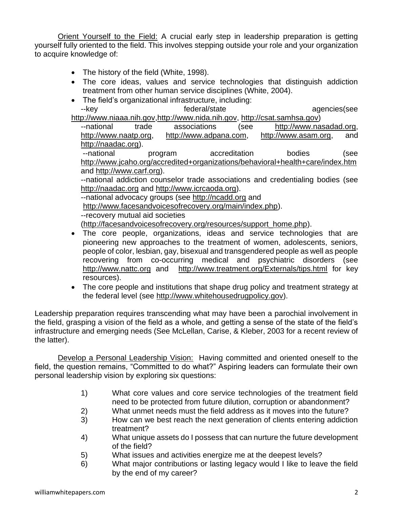Orient Yourself to the Field: A crucial early step in leadership preparation is getting yourself fully oriented to the field. This involves stepping outside your role and your organization to acquire knowledge of:

- The history of the field (White, 1998).
- The core ideas, values and service technologies that distinguish addiction treatment from other human service disciplines (White, 2004).
- The field's organizational infrastructure, including: --key extended agencies of the federal/state agencies(see agencies)

[http://www.niaaa.nih.gov](http://www.niaaa.nih.gov/)[,http://www.nida.nih.gov,](http://www.nida.nih.gov/) [http://csat.samhsa.gov\)](http://csat.samhsa.gov/)

--national trade associations (see [http://www.nasadad.org,](http://www.nasadad.org/) [http://www.naatp.org,](http://www.naatp.org/) [http://www.adpana.com,](http://www.adpana.com/) [http://www.asam.org,](http://www.asam.org/) and [http://naadac.org\)](http://naadac.org/).

--national program accreditation bodies (see <http://www.jcaho.org/accredited+organizations/behavioral+health+care/index.htm> and [http://www.carf.org\)](http://www.carf.org/).

--national addiction counselor trade associations and credentialing bodies (see [http://naadac.org](http://naadac.org/) and [http://www.icrcaoda.org\)](http://www.icrcaoda.org/).

--national advocacy groups (see [http://ncadd.org](http://ncadd.org/) and

[http://www.facesandvoicesofrecovery.org/main/index.php\)](http://www.facesandvoicesofrecovery.org/main/index.php).

--recovery mutual aid societies

(http://facesandvoicesofrecovery.org/resources/support\_home.php).

- The core people, organizations, ideas and service technologies that are pioneering new approaches to the treatment of women, adolescents, seniors, people of color, lesbian, gay, bisexual and transgendered people as well as people recovering from co-occurring medical and psychiatric disorders (see [http://www.nattc.org](http://www.nattc.org/) and <http://www.treatment.org/Externals/tips.html> for key resources).
- The core people and institutions that shape drug policy and treatment strategy at the federal level (see [http://www.whitehousedrugpolicy.gov\)](http://www.whitehousedrugpolicy.gov/).

Leadership preparation requires transcending what may have been a parochial involvement in the field, grasping a vision of the field as a whole, and getting a sense of the state of the field's infrastructure and emerging needs (See McLellan, Carise, & Kleber, 2003 for a recent review of the latter).

Develop a Personal Leadership Vision: Having committed and oriented oneself to the field, the question remains, "Committed to do what?" Aspiring leaders can formulate their own personal leadership vision by exploring six questions:

- 1) What core values and core service technologies of the treatment field need to be protected from future dilution, corruption or abandonment?
- 2) What unmet needs must the field address as it moves into the future?
- 3) How can we best reach the next generation of clients entering addiction treatment?
- 4) What unique assets do I possess that can nurture the future development of the field?
- 5) What issues and activities energize me at the deepest levels?
- 6) What major contributions or lasting legacy would I like to leave the field by the end of my career?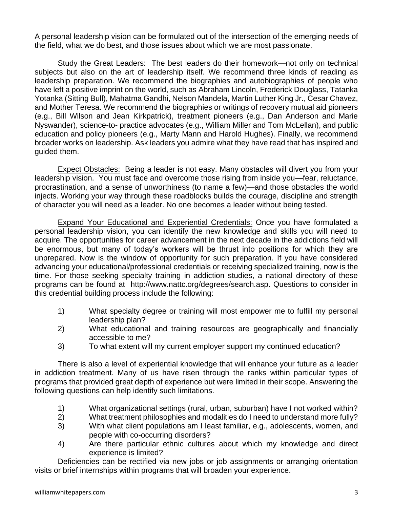A personal leadership vision can be formulated out of the intersection of the emerging needs of the field, what we do best, and those issues about which we are most passionate.

Study the Great Leaders: The best leaders do their homework—not only on technical subjects but also on the art of leadership itself. We recommend three kinds of reading as leadership preparation. We recommend the biographies and autobiographies of people who have left a positive imprint on the world, such as Abraham Lincoln, Frederick Douglass, Tatanka Yotanka (Sitting Bull), Mahatma Gandhi, Nelson Mandela, Martin Luther King Jr., Cesar Chavez, and Mother Teresa. We recommend the biographies or writings of recovery mutual aid pioneers (e.g., Bill Wilson and Jean Kirkpatrick), treatment pioneers (e.g., Dan Anderson and Marie Nyswander), science-to- practice advocates (e.g., William Miller and Tom McLellan), and public education and policy pioneers (e.g., Marty Mann and Harold Hughes). Finally, we recommend broader works on leadership. Ask leaders you admire what they have read that has inspired and guided them.

Expect Obstacles: Being a leader is not easy. Many obstacles will divert you from your leadership vision. You must face and overcome those rising from inside you—fear, reluctance, procrastination, and a sense of unworthiness (to name a few)—and those obstacles the world injects. Working your way through these roadblocks builds the courage, discipline and strength of character you will need as a leader. No one becomes a leader without being tested.

Expand Your Educational and Experiential Credentials: Once you have formulated a personal leadership vision, you can identify the new knowledge and skills you will need to acquire. The opportunities for career advancement in the next decade in the addictions field will be enormous, but many of today's workers will be thrust into positions for which they are unprepared. Now is the window of opportunity for such preparation. If you have considered advancing your educational/professional credentials or receiving specialized training, now is the time. For those seeking specialty training in addiction studies, a national directory of these programs can be found at http://www.nattc.org/degrees/search.asp. Questions to consider in this credential building process include the following:

- 1) What specialty degree or training will most empower me to fulfill my personal leadership plan?
- 2) What educational and training resources are geographically and financially accessible to me?
- 3) To what extent will my current employer support my continued education?

There is also a level of experiential knowledge that will enhance your future as a leader in addiction treatment. Many of us have risen through the ranks within particular types of programs that provided great depth of experience but were limited in their scope. Answering the following questions can help identify such limitations.

- 1) What organizational settings (rural, urban, suburban) have I not worked within?
- 2) What treatment philosophies and modalities do I need to understand more fully?
- 3) With what client populations am I least familiar, e.g., adolescents, women, and people with co-occurring disorders?
- 4) Are there particular ethnic cultures about which my knowledge and direct experience is limited?

Deficiencies can be rectified via new jobs or job assignments or arranging orientation visits or brief internships within programs that will broaden your experience.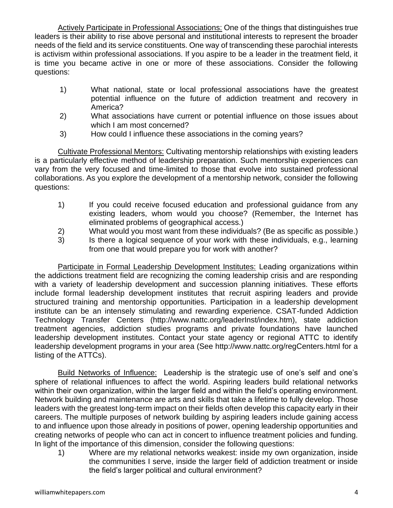Actively Participate in Professional Associations: One of the things that distinguishes true leaders is their ability to rise above personal and institutional interests to represent the broader needs of the field and its service constituents. One way of transcending these parochial interests is activism within professional associations. If you aspire to be a leader in the treatment field, it is time you became active in one or more of these associations. Consider the following questions:

- 1) What national, state or local professional associations have the greatest potential influence on the future of addiction treatment and recovery in America?
- 2) What associations have current or potential influence on those issues about which I am most concerned?
- 3) How could I influence these associations in the coming years?

Cultivate Professional Mentors: Cultivating mentorship relationships with existing leaders is a particularly effective method of leadership preparation. Such mentorship experiences can vary from the very focused and time-limited to those that evolve into sustained professional collaborations. As you explore the development of a mentorship network, consider the following questions:

- 1) If you could receive focused education and professional guidance from any existing leaders, whom would you choose? (Remember, the Internet has eliminated problems of geographical access.)
- 2) What would you most want from these individuals? (Be as specific as possible.)
- 3) Is there a logical sequence of your work with these individuals, e.g., learning from one that would prepare you for work with another?

Participate in Formal Leadership Development Institutes: Leading organizations within the addictions treatment field are recognizing the coming leadership crisis and are responding with a variety of leadership development and succession planning initiatives. These efforts include formal leadership development institutes that recruit aspiring leaders and provide structured training and mentorship opportunities. Participation in a leadership development institute can be an intensely stimulating and rewarding experience. CSAT-funded Addiction Technology Transfer Centers (http://www.nattc.org/leaderInst/index.htm), state addiction treatment agencies, addiction studies programs and private foundations have launched leadership development institutes. Contact your state agency or regional ATTC to identify leadership development programs in your area (See http://www.nattc.org/regCenters.html for a listing of the ATTCs).

Build Networks of Influence: Leadership is the strategic use of one's self and one's sphere of relational influences to affect the world. Aspiring leaders build relational networks within their own organization, within the larger field and within the field's operating environment. Network building and maintenance are arts and skills that take a lifetime to fully develop. Those leaders with the greatest long-term impact on their fields often develop this capacity early in their careers. The multiple purposes of network building by aspiring leaders include gaining access to and influence upon those already in positions of power, opening leadership opportunities and creating networks of people who can act in concert to influence treatment policies and funding. In light of the importance of this dimension, consider the following questions:

1) Where are my relational networks weakest: inside my own organization, inside the communities I serve, inside the larger field of addiction treatment or inside the field's larger political and cultural environment?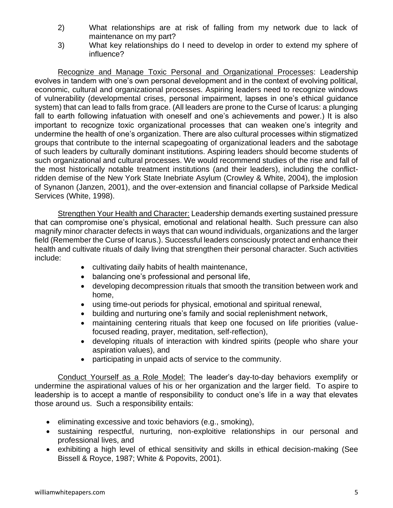- 2) What relationships are at risk of falling from my network due to lack of maintenance on my part?
- 3) What key relationships do I need to develop in order to extend my sphere of influence?

Recognize and Manage Toxic Personal and Organizational Processes: Leadership evolves in tandem with one's own personal development and in the context of evolving political, economic, cultural and organizational processes. Aspiring leaders need to recognize windows of vulnerability (developmental crises, personal impairment, lapses in one's ethical guidance system) that can lead to falls from grace. (All leaders are prone to the Curse of Icarus: a plunging fall to earth following infatuation with oneself and one's achievements and power.) It is also important to recognize toxic organizational processes that can weaken one's integrity and undermine the health of one's organization. There are also cultural processes within stigmatized groups that contribute to the internal scapegoating of organizational leaders and the sabotage of such leaders by culturally dominant institutions. Aspiring leaders should become students of such organizational and cultural processes. We would recommend studies of the rise and fall of the most historically notable treatment institutions (and their leaders), including the conflictridden demise of the New York State Inebriate Asylum (Crowley & White, 2004), the implosion of Synanon (Janzen, 2001), and the over-extension and financial collapse of Parkside Medical Services (White, 1998).

Strengthen Your Health and Character: Leadership demands exerting sustained pressure that can compromise one's physical, emotional and relational health. Such pressure can also magnify minor character defects in ways that can wound individuals, organizations and the larger field (Remember the Curse of Icarus.). Successful leaders consciously protect and enhance their health and cultivate rituals of daily living that strengthen their personal character. Such activities include:

- cultivating daily habits of health maintenance,
- balancing one's professional and personal life,
- developing decompression rituals that smooth the transition between work and home,
- using time-out periods for physical, emotional and spiritual renewal,
- building and nurturing one's family and social replenishment network,
- maintaining centering rituals that keep one focused on life priorities (valuefocused reading, prayer, meditation, self-reflection),
- developing rituals of interaction with kindred spirits (people who share your aspiration values), and
- participating in unpaid acts of service to the community.

Conduct Yourself as a Role Model: The leader's day-to-day behaviors exemplify or undermine the aspirational values of his or her organization and the larger field. To aspire to leadership is to accept a mantle of responsibility to conduct one's life in a way that elevates those around us. Such a responsibility entails:

- eliminating excessive and toxic behaviors (e.g., smoking),
- sustaining respectful, nurturing, non-exploitive relationships in our personal and professional lives, and
- exhibiting a high level of ethical sensitivity and skills in ethical decision-making (See Bissell & Royce, 1987; White & Popovits, 2001).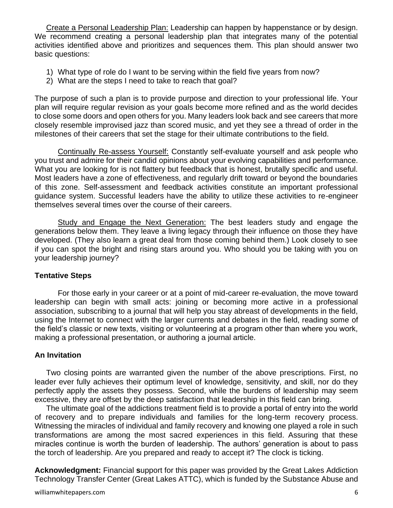Create a Personal Leadership Plan: Leadership can happen by happenstance or by design. We recommend creating a personal leadership plan that integrates many of the potential activities identified above and prioritizes and sequences them. This plan should answer two basic questions:

- 1) What type of role do I want to be serving within the field five years from now?
- 2) What are the steps I need to take to reach that goal?

The purpose of such a plan is to provide purpose and direction to your professional life. Your plan will require regular revision as your goals become more refined and as the world decides to close some doors and open others for you. Many leaders look back and see careers that more closely resemble improvised jazz than scored music, and yet they see a thread of order in the milestones of their careers that set the stage for their ultimate contributions to the field.

Continually Re-assess Yourself: Constantly self-evaluate yourself and ask people who you trust and admire for their candid opinions about your evolving capabilities and performance. What you are looking for is not flattery but feedback that is honest, brutally specific and useful. Most leaders have a zone of effectiveness, and regularly drift toward or beyond the boundaries of this zone. Self-assessment and feedback activities constitute an important professional guidance system. Successful leaders have the ability to utilize these activities to re-engineer themselves several times over the course of their careers.

Study and Engage the Next Generation: The best leaders study and engage the generations below them. They leave a living legacy through their influence on those they have developed. (They also learn a great deal from those coming behind them.) Look closely to see if you can spot the bright and rising stars around you. Who should you be taking with you on your leadership journey?

#### **Tentative Steps**

For those early in your career or at a point of mid-career re-evaluation, the move toward leadership can begin with small acts: joining or becoming more active in a professional association, subscribing to a journal that will help you stay abreast of developments in the field, using the Internet to connect with the larger currents and debates in the field, reading some of the field's classic or new texts, visiting or volunteering at a program other than where you work, making a professional presentation, or authoring a journal article.

#### **An Invitation**

Two closing points are warranted given the number of the above prescriptions. First, no leader ever fully achieves their optimum level of knowledge, sensitivity, and skill, nor do they perfectly apply the assets they possess. Second, while the burdens of leadership may seem excessive, they are offset by the deep satisfaction that leadership in this field can bring.

The ultimate goal of the addictions treatment field is to provide a portal of entry into the world of recovery and to prepare individuals and families for the long-term recovery process. Witnessing the miracles of individual and family recovery and knowing one played a role in such transformations are among the most sacred experiences in this field. Assuring that these miracles continue is worth the burden of leadership. The authors' generation is about to pass the torch of leadership. Are you prepared and ready to accept it? The clock is ticking.

**Acknowledgment:** Financial **s**upport for this paper was provided by the Great Lakes Addiction Technology Transfer Center (Great Lakes ATTC), which is funded by the Substance Abuse and